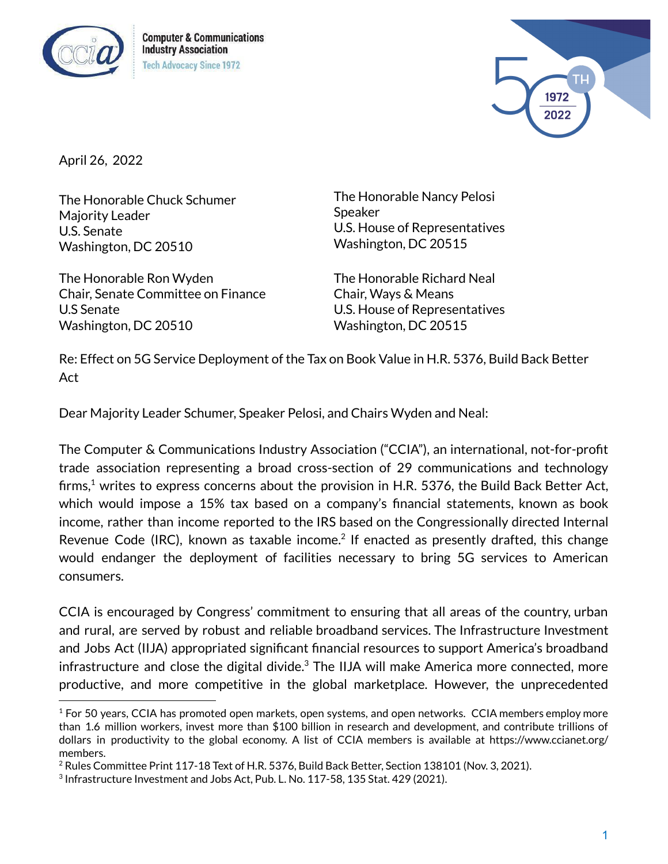

**Computer & Communications Industry Association Tech Advocacy Since 1972** 



April 26, 2022

The Honorable Chuck Schumer Majority Leader U.S. Senate Washington, DC 20510

The Honorable Ron Wyden Chair, Senate Committee on Finance U.S Senate Washington, DC 20510

The Honorable Nancy Pelosi Speaker U.S. House of Representatives Washington, DC 20515

The Honorable Richard Neal Chair, Ways & Means U.S. House of Representatives Washington, DC 20515

Re: Effect on 5G Service Deployment of the Tax on Book Value in H.R. 5376, Build Back Better Act

Dear Majority Leader Schumer, Speaker Pelosi, and Chairs Wyden and Neal:

The Computer & Communications Industry Association ("CCIA"), an international, not-for-profit trade association representing a broad cross-section of 29 communications and technology firms, $^1$  writes to express concerns about the provision in H.R. 5376, the Build Back Better Act, which would impose a 15% tax based on a company's financial statements, known as book income, rather than income reported to the IRS based on the Congressionally directed Internal Revenue Code (IRC), known as taxable income.<sup>2</sup> If enacted as presently drafted, this change would endanger the deployment of facilities necessary to bring 5G services to American consumers.

CCIA is encouraged by Congress' commitment to ensuring that all areas of the country, urban and rural, are served by robust and reliable broadband services. The Infrastructure Investment and Jobs Act (IIJA) appropriated significant financial resources to support America's broadband infrastructure and close the digital divide. $^3$  The IIJA will make America more connected, more productive, and more competitive in the global marketplace. However, the unprecedented

<sup>&</sup>lt;sup>1</sup> For 50 years, CCIA has promoted open markets, open systems, and open networks. CCIA members employ more than 1.6 million workers, invest more than \$100 billion in research and development, and contribute trillions of dollars in productivity to the global economy. A list of CCIA members is available at https://www.ccianet.org/ members.

 $2$  Rules Committee Print 117-18 Text of H.R. 5376, Build Back Better, Section 138101 (Nov. 3, 2021).

 $3$  Infrastructure Investment and Jobs Act, Pub. L. No. 117-58, 135 Stat. 429 (2021).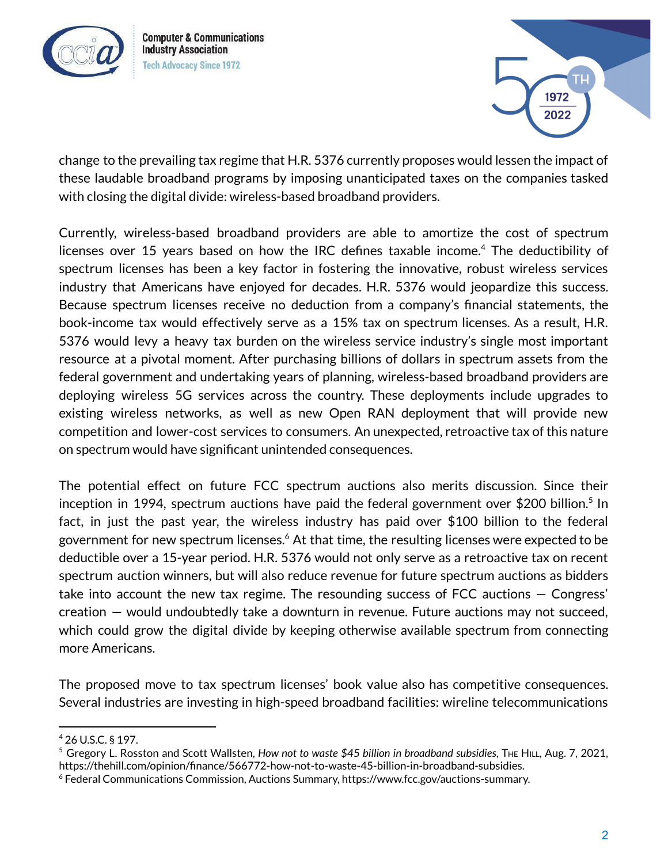

**Computer & Communications Industry Association Tech Advocacy Since 1972** 



change to the prevailing tax regime that H.R. 5376 currently proposes would lessen the impact of these laudable broadband programs by imposing unanticipated taxes on the companies tasked with closing the digital divide: wireless-based broadband providers.

Currently, wireless-based broadband providers are able to amortize the cost of spectrum licenses over 15 years based on how the IRC defines taxable income. <sup>4</sup> The deductibility of spectrum licenses has been a key factor in fostering the innovative, robust wireless services industry that Americans have enjoyed for decades. H.R. 5376 would jeopardize this success. Because spectrum licenses receive no deduction from a company's financial statements, the book-income tax would effectively serve as a 15% tax on spectrum licenses. As a result, H.R. 5376 would levy a heavy tax burden on the wireless service industry's single most important resource at a pivotal moment. After purchasing billions of dollars in spectrum assets from the federal government and undertaking years of planning, wireless-based broadband providers are deploying wireless 5G services across the country. These deployments include upgrades to existing wireless networks, as well as new Open RAN deployment that will provide new competition and lower-cost services to consumers. An unexpected, retroactive tax of this nature on spectrum would have significant unintended consequences.

The potential effect on future FCC spectrum auctions also merits discussion. Since their inception in 1994, spectrum auctions have paid the federal government over \$200 billion.<sup>5</sup> In fact, in just the past year, the wireless industry has paid over \$100 billion to the federal government for new spectrum licenses. $^{\rm 6}$  At that time, the resulting licenses were expected to be deductible over a 15-year period. H.R. 5376 would not only serve as a retroactive tax on recent spectrum auction winners, but will also reduce revenue for future spectrum auctions as bidders take into account the new tax regime. The resounding success of FCC auctions — Congress' creation — would undoubtedly take a downturn in revenue. Future auctions may not succeed, which could grow the digital divide by keeping otherwise available spectrum from connecting more Americans.

The proposed move to tax spectrum licenses' book value also has competitive consequences. Several industries are investing in high-speed broadband facilities: wireline telecommunications

<sup>4</sup> 26 U.S.C. § 197.

<sup>5</sup> Gregory L. Rosston and Scott Wallsten, *How not to waste \$45 billion in broadband subsidies*, THE HILL, Aug. 7, 2021, https://thehill.com/opinion/finance/566772-how-not-to-waste-45-billion-in-broadband-subsidies.

<sup>6</sup> Federal Communications Commission, Auctions Summary, https://www.fcc.gov/auctions-summary.